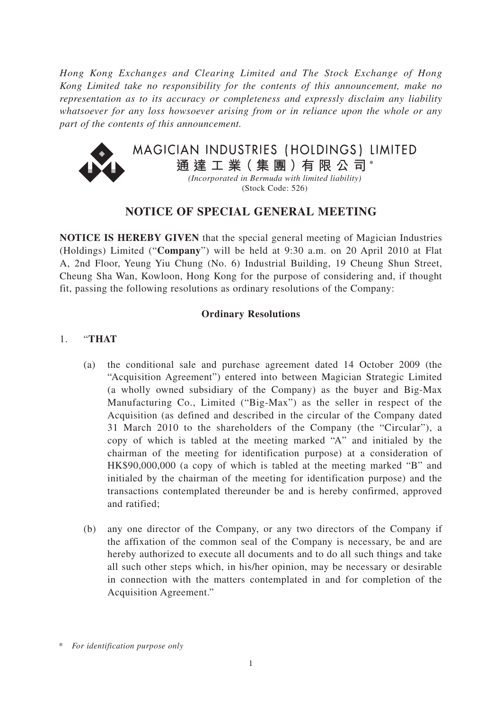*Hong Kong Exchanges and Clearing Limited and The Stock Exchange of Hong Kong Limited take no responsibility for the contents of this announcement, make no representation as to its accuracy or completeness and expressly disclaim any liability whatsoever for any loss howsoever arising from or in reliance upon the whole or any part of the contents of this announcement.*



## **NOTICE OF SPECIAL GENERAL MEETING**

**NOTICE IS HEREBY GIVEN** that the special general meeting of Magician Industries (Holdings) Limited ("**Company**") will be held at 9:30 a.m. on 20 April 2010 at Flat A, 2nd Floor, Yeung Yiu Chung (No. 6) Industrial Building, 19 Cheung Shun Street, Cheung Sha Wan, Kowloon, Hong Kong for the purpose of considering and, if thought fit, passing the following resolutions as ordinary resolutions of the Company:

#### **Ordinary Resolutions**

## 1. "**THAT**

- (a) the conditional sale and purchase agreement dated 14 October 2009 (the "Acquisition Agreement") entered into between Magician Strategic Limited (a wholly owned subsidiary of the Company) as the buyer and Big-Max Manufacturing Co., Limited ("Big-Max") as the seller in respect of the Acquisition (as defined and described in the circular of the Company dated 31 March 2010 to the shareholders of the Company (the "Circular"), a copy of which is tabled at the meeting marked "A" and initialed by the chairman of the meeting for identification purpose) at a consideration of HK\$90,000,000 (a copy of which is tabled at the meeting marked "B" and initialed by the chairman of the meeting for identification purpose) and the transactions contemplated thereunder be and is hereby confirmed, approved and ratified;
- (b) any one director of the Company, or any two directors of the Company if the affixation of the common seal of the Company is necessary, be and are hereby authorized to execute all documents and to do all such things and take all such other steps which, in his/her opinion, may be necessary or desirable in connection with the matters contemplated in and for completion of the Acquisition Agreement."

<sup>\*</sup> *For identification purpose only*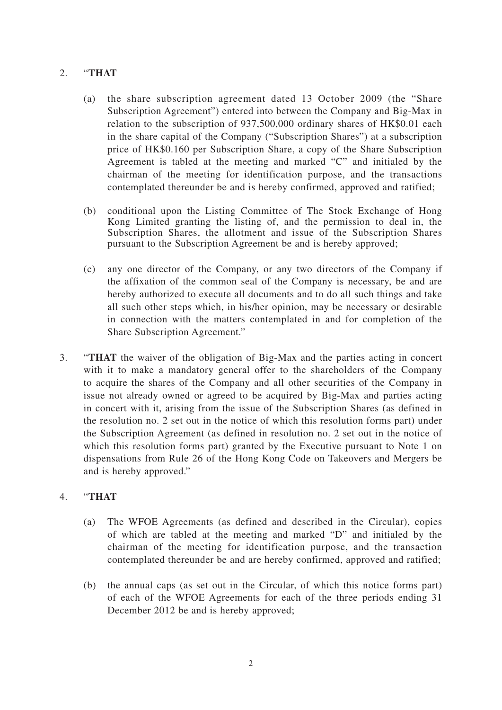## 2. "**THAT**

- (a) the share subscription agreement dated 13 October 2009 (the "Share Subscription Agreement") entered into between the Company and Big-Max in relation to the subscription of 937,500,000 ordinary shares of HK\$0.01 each in the share capital of the Company ("Subscription Shares") at a subscription price of HK\$0.160 per Subscription Share, a copy of the Share Subscription Agreement is tabled at the meeting and marked "C" and initialed by the chairman of the meeting for identification purpose, and the transactions contemplated thereunder be and is hereby confirmed, approved and ratified;
- (b) conditional upon the Listing Committee of The Stock Exchange of Hong Kong Limited granting the listing of, and the permission to deal in, the Subscription Shares, the allotment and issue of the Subscription Shares pursuant to the Subscription Agreement be and is hereby approved;
- (c) any one director of the Company, or any two directors of the Company if the affixation of the common seal of the Company is necessary, be and are hereby authorized to execute all documents and to do all such things and take all such other steps which, in his/her opinion, may be necessary or desirable in connection with the matters contemplated in and for completion of the Share Subscription Agreement."
- 3. "**THAT** the waiver of the obligation of Big-Max and the parties acting in concert with it to make a mandatory general offer to the shareholders of the Company to acquire the shares of the Company and all other securities of the Company in issue not already owned or agreed to be acquired by Big-Max and parties acting in concert with it, arising from the issue of the Subscription Shares (as defined in the resolution no. 2 set out in the notice of which this resolution forms part) under the Subscription Agreement (as defined in resolution no. 2 set out in the notice of which this resolution forms part) granted by the Executive pursuant to Note 1 on dispensations from Rule 26 of the Hong Kong Code on Takeovers and Mergers be and is hereby approved."

## 4. "**THAT**

- (a) The WFOE Agreements (as defined and described in the Circular), copies of which are tabled at the meeting and marked "D" and initialed by the chairman of the meeting for identification purpose, and the transaction contemplated thereunder be and are hereby confirmed, approved and ratified;
- (b) the annual caps (as set out in the Circular, of which this notice forms part) of each of the WFOE Agreements for each of the three periods ending 31 December 2012 be and is hereby approved;